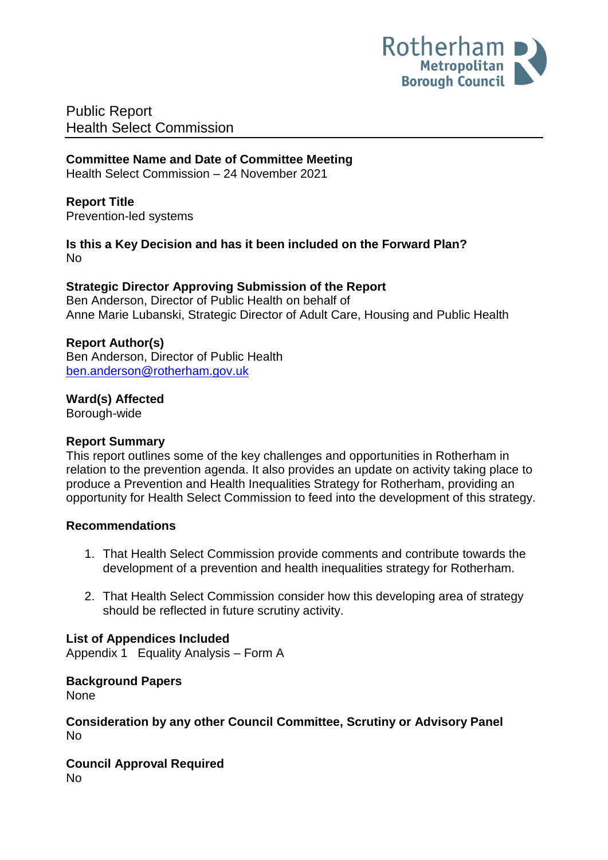

Public Report Health Select Commission

# **Committee Name and Date of Committee Meeting**

Health Select Commission – 24 November 2021

# **Report Title**

<span id="page-0-0"></span>Prevention-led systems

**Is this a Key Decision and has it been included on the Forward Plan?**  No

## **Strategic Director Approving Submission of the Report**

Ben Anderson, Director of Public Health on behalf of Anne Marie Lubanski, Strategic Director of Adult Care, Housing and Public Health

## **Report Author(s)**

Ben Anderson, Director of Public Health [ben.anderson@rotherham.gov.uk](mailto:ben.anderson@rotherham.gov.uk)

#### **Ward(s) Affected**

Borough-wide

#### **Report Summary**

This report outlines some of the key challenges and opportunities in Rotherham in relation to the prevention agenda. It also provides an update on activity taking place to produce a Prevention and Health Inequalities Strategy for Rotherham, providing an opportunity for Health Select Commission to feed into the development of this strategy.

#### **Recommendations**

- 1. That Health Select Commission provide comments and contribute towards the development of a prevention and health inequalities strategy for Rotherham.
- 2. That Health Select Commission consider how this developing area of strategy should be reflected in future scrutiny activity.

# **List of Appendices Included**

Appendix 1 Equality Analysis – Form A

# **Background Papers**

None

#### **Consideration by any other Council Committee, Scrutiny or Advisory Panel** No

**Council Approval Required** No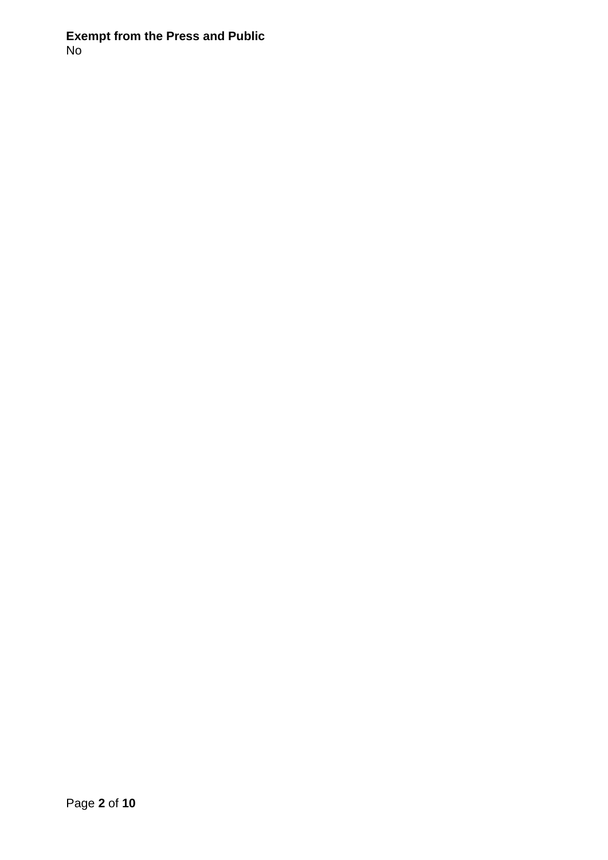## **Exempt from the Press and Public** No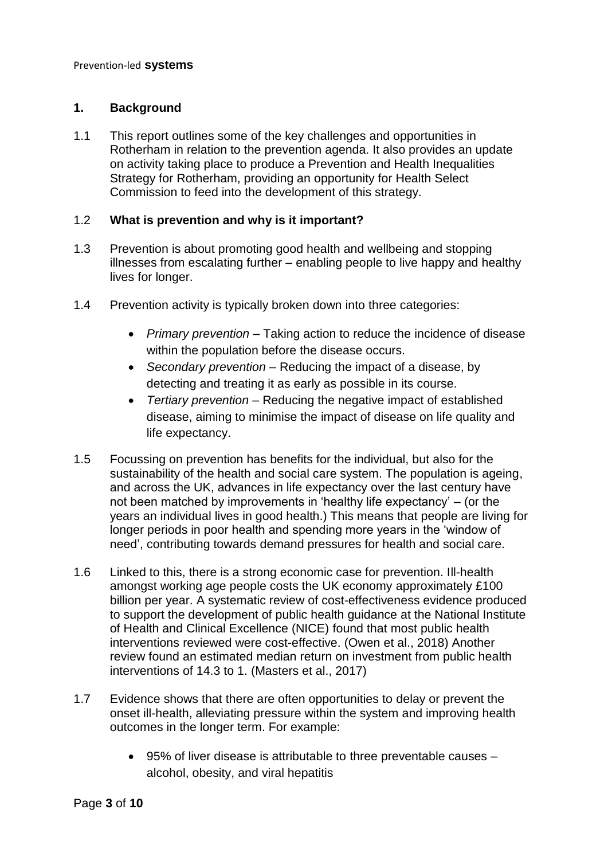#### **1. Background**

1.1 This report outlines some of the key challenges and opportunities in Rotherham in relation to the prevention agenda. It also provides an update on activity taking place to produce a Prevention and Health Inequalities Strategy for Rotherham, providing an opportunity for Health Select Commission to feed into the development of this strategy.

#### 1.2 **What is prevention and why is it important?**

- 1.3 Prevention is about promoting good health and wellbeing and stopping illnesses from escalating further – enabling people to live happy and healthy lives for longer.
- 1.4 Prevention activity is typically broken down into three categories:
	- Primary prevention Taking action to reduce the incidence of disease within the population before the disease occurs.
	- *Secondary prevention*  Reducing the impact of a disease, by detecting and treating it as early as possible in its course.
	- *Tertiary prevention*  Reducing the negative impact of established disease, aiming to minimise the impact of disease on life quality and life expectancy.
- 1.5 Focussing on prevention has benefits for the individual, but also for the sustainability of the health and social care system. The population is ageing, and across the UK, advances in life expectancy over the last century have not been matched by improvements in 'healthy life expectancy' – (or the years an individual lives in good health.) This means that people are living for longer periods in poor health and spending more years in the 'window of need', contributing towards demand pressures for health and social care.
- 1.6 Linked to this, there is a strong economic case for prevention. Ill-health amongst working age people costs the UK economy approximately £100 billion per year. A systematic review of cost-effectiveness evidence produced to support the development of public health guidance at the National Institute of Health and Clinical Excellence (NICE) found that most public health interventions reviewed were cost-effective. (Owen et al., 2018) Another review found an estimated median return on investment from public health interventions of 14.3 to 1. (Masters et al., 2017)
- 1.7 Evidence shows that there are often opportunities to delay or prevent the onset ill-health, alleviating pressure within the system and improving health outcomes in the longer term. For example:
	- 95% of liver disease is attributable to three preventable causes alcohol, obesity, and viral hepatitis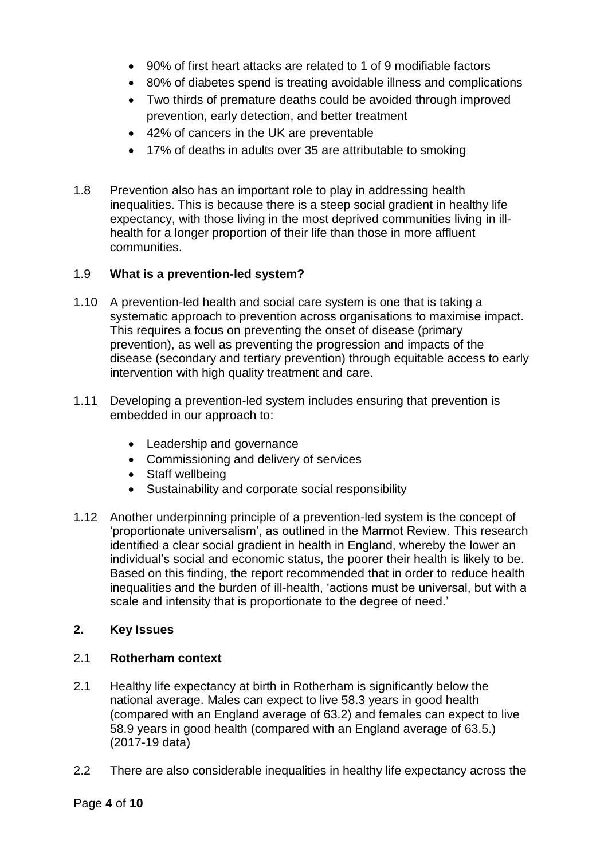- 90% of first heart attacks are related to 1 of 9 modifiable factors
- 80% of diabetes spend is treating avoidable illness and complications
- Two thirds of premature deaths could be avoided through improved prevention, early detection, and better treatment
- 42% of cancers in the UK are preventable
- 17% of deaths in adults over 35 are attributable to smoking
- 1.8 Prevention also has an important role to play in addressing health inequalities. This is because there is a steep social gradient in healthy life expectancy, with those living in the most deprived communities living in illhealth for a longer proportion of their life than those in more affluent communities.

# 1.9 **What is a prevention-led system?**

- 1.10 A prevention-led health and social care system is one that is taking a systematic approach to prevention across organisations to maximise impact. This requires a focus on preventing the onset of disease (primary prevention), as well as preventing the progression and impacts of the disease (secondary and tertiary prevention) through equitable access to early intervention with high quality treatment and care.
- 1.11 Developing a prevention-led system includes ensuring that prevention is embedded in our approach to:
	- Leadership and governance
	- Commissioning and delivery of services
	- Staff wellbeing
	- Sustainability and corporate social responsibility
- 1.12 Another underpinning principle of a prevention-led system is the concept of 'proportionate universalism', as outlined in the Marmot Review. This research identified a clear social gradient in health in England, whereby the lower an individual's social and economic status, the poorer their health is likely to be. Based on this finding, the report recommended that in order to reduce health inequalities and the burden of ill-health, 'actions must be universal, but with a scale and intensity that is proportionate to the degree of need.'

# **2. Key Issues**

# 2.1 **Rotherham context**

- 2.1 Healthy life expectancy at birth in Rotherham is significantly below the national average. Males can expect to live 58.3 years in good health (compared with an England average of 63.2) and females can expect to live 58.9 years in good health (compared with an England average of 63.5.) (2017-19 data)
- 2.2 There are also considerable inequalities in healthy life expectancy across the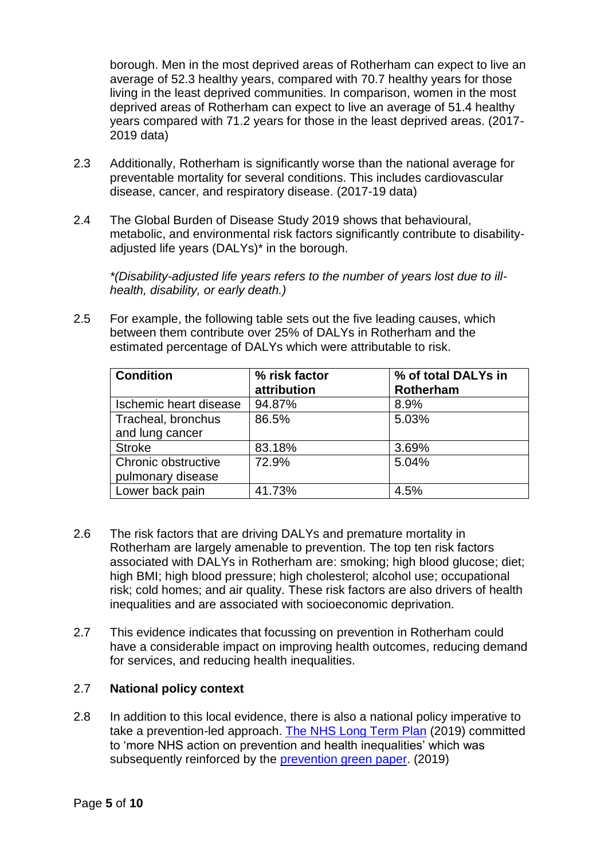borough. Men in the most deprived areas of Rotherham can expect to live an average of 52.3 healthy years, compared with 70.7 healthy years for those living in the least deprived communities. In comparison, women in the most deprived areas of Rotherham can expect to live an average of 51.4 healthy years compared with 71.2 years for those in the least deprived areas. (2017- 2019 data)

- 2.3 Additionally, Rotherham is significantly worse than the national average for preventable mortality for several conditions. This includes cardiovascular disease, cancer, and respiratory disease. (2017-19 data)
- 2.4 The Global Burden of Disease Study 2019 shows that behavioural, metabolic, and environmental risk factors significantly contribute to disabilityadjusted life years (DALYs)\* in the borough.

*\*(Disability-adjusted life years refers to the number of years lost due to illhealth, disability, or early death.)*

2.5 For example, the following table sets out the five leading causes, which between them contribute over 25% of DALYs in Rotherham and the estimated percentage of DALYs which were attributable to risk.

| <b>Condition</b>       | % risk factor<br>attribution | % of total DALYs in<br>Rotherham |
|------------------------|------------------------------|----------------------------------|
| Ischemic heart disease | 94.87%                       | 8.9%                             |
| Tracheal, bronchus     | 86.5%                        | 5.03%                            |
| and lung cancer        |                              |                                  |
| <b>Stroke</b>          | 83.18%                       | 3.69%                            |
| Chronic obstructive    | 72.9%                        | 5.04%                            |
| pulmonary disease      |                              |                                  |
| Lower back pain        | 41.73%                       | 4.5%                             |

- 2.6 The risk factors that are driving DALYs and premature mortality in Rotherham are largely amenable to prevention. The top ten risk factors associated with DALYs in Rotherham are: smoking; high blood glucose; diet; high BMI; high blood pressure; high cholesterol; alcohol use; occupational risk; cold homes; and air quality. These risk factors are also drivers of health inequalities and are associated with socioeconomic deprivation.
- 2.7 This evidence indicates that focussing on prevention in Rotherham could have a considerable impact on improving health outcomes, reducing demand for services, and reducing health inequalities.

#### 2.7 **National policy context**

2.8 In addition to this local evidence, there is also a national policy imperative to take a prevention-led approach. [The NHS Long Term Plan](https://www.longtermplan.nhs.uk/wp-content/uploads/2019/08/nhs-long-term-plan-version-1.2.pdf) (2019) committed to 'more NHS action on prevention and health inequalities' which was subsequently reinforced by the [prevention green paper.](https://www.gov.uk/government/consultations/advancing-our-health-prevention-in-the-2020s/advancing-our-health-prevention-in-the-2020s-consultation-document) (2019)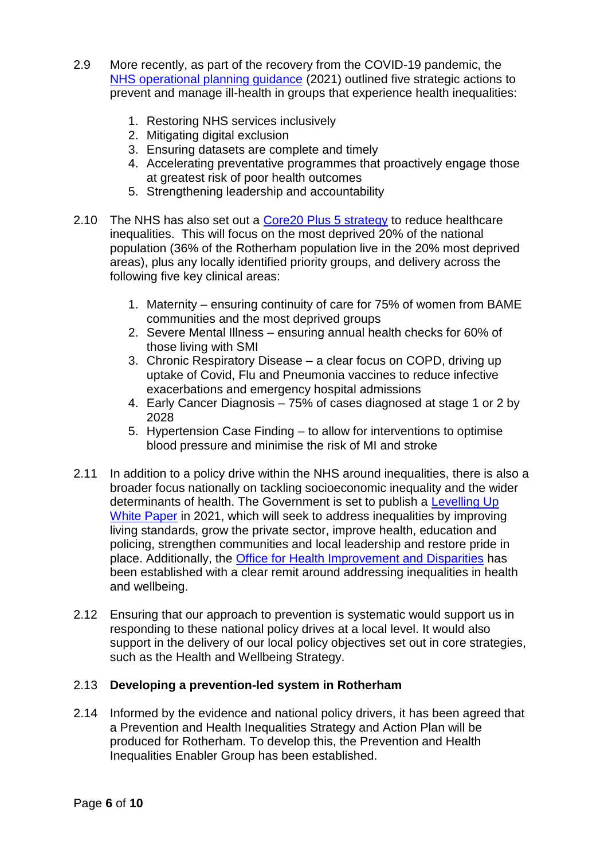- 2.9 More recently, as part of the recovery from the COVID-19 pandemic, the [NHS operational planning guidance](https://www.england.nhs.uk/wp-content/uploads/2021/03/B0468-implementation-guidance-21-22-priorities-and-operational-planning-guidance.pdf) (2021) outlined five strategic actions to prevent and manage ill-health in groups that experience health inequalities:
	- 1. Restoring NHS services inclusively
	- 2. Mitigating digital exclusion
	- 3. Ensuring datasets are complete and timely
	- 4. Accelerating preventative programmes that proactively engage those at greatest risk of poor health outcomes
	- 5. Strengthening leadership and accountability
- 2.10 The NHS has also set out a [Core20 Plus 5 strategy](https://www.engage.england.nhs.uk/survey/core20plus5/user_uploads/core20plus5-online-engage-survey-supporting-document-v1.pdf) to reduce healthcare inequalities. This will focus on the most deprived 20% of the national population (36% of the Rotherham population live in the 20% most deprived areas), plus any locally identified priority groups, and delivery across the following five key clinical areas:
	- 1. Maternity ensuring continuity of care for 75% of women from BAME communities and the most deprived groups
	- 2. Severe Mental Illness ensuring annual health checks for 60% of those living with SMI
	- 3. Chronic Respiratory Disease a clear focus on COPD, driving up uptake of Covid, Flu and Pneumonia vaccines to reduce infective exacerbations and emergency hospital admissions
	- 4. Early Cancer Diagnosis 75% of cases diagnosed at stage 1 or 2 by 2028
	- 5. Hypertension Case Finding to allow for interventions to optimise blood pressure and minimise the risk of MI and stroke
- 2.11 In addition to a policy drive within the NHS around inequalities, there is also a broader focus nationally on tackling socioeconomic inequality and the wider determinants of health. The Government is set to publish a [Levelling Up](https://www.gov.uk/government/news/government-to-publish-levelling-up-white-paper)  [White Paper](https://www.gov.uk/government/news/government-to-publish-levelling-up-white-paper) in 2021, which will seek to address inequalities by improving living standards, grow the private sector, improve health, education and policing, strengthen communities and local leadership and restore pride in place. Additionally, the [Office for Health Improvement and Disparities](https://www.gov.uk/government/organisations/office-for-health-improvement-and-disparities/about) has been established with a clear remit around addressing inequalities in health and wellbeing.
- 2.12 Ensuring that our approach to prevention is systematic would support us in responding to these national policy drives at a local level. It would also support in the delivery of our local policy objectives set out in core strategies, such as the Health and Wellbeing Strategy.

#### 2.13 **Developing a prevention-led system in Rotherham**

2.14 Informed by the evidence and national policy drivers, it has been agreed that a Prevention and Health Inequalities Strategy and Action Plan will be produced for Rotherham. To develop this, the Prevention and Health Inequalities Enabler Group has been established.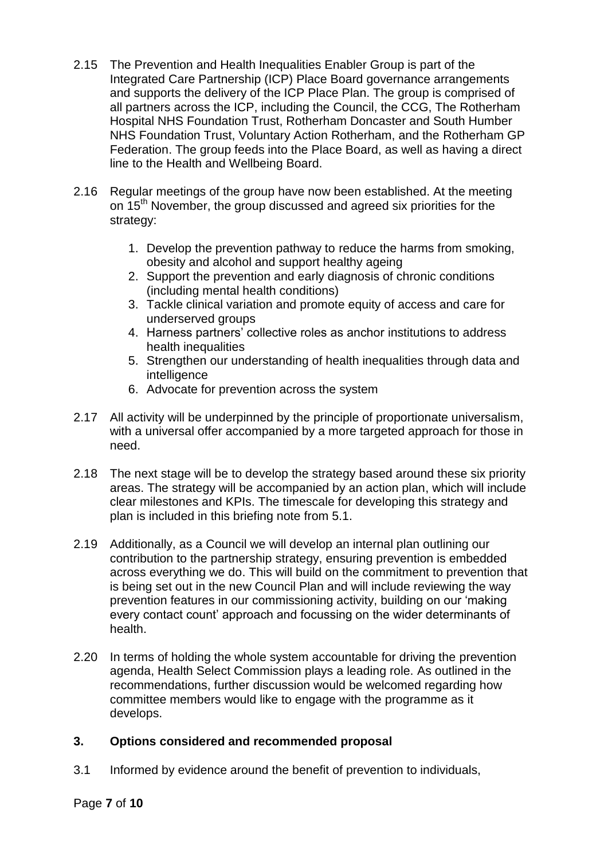- 2.15 The Prevention and Health Inequalities Enabler Group is part of the Integrated Care Partnership (ICP) Place Board governance arrangements and supports the delivery of the ICP Place Plan. The group is comprised of all partners across the ICP, including the Council, the CCG, The Rotherham Hospital NHS Foundation Trust, Rotherham Doncaster and South Humber NHS Foundation Trust, Voluntary Action Rotherham, and the Rotherham GP Federation. The group feeds into the Place Board, as well as having a direct line to the Health and Wellbeing Board.
- 2.16 Regular meetings of the group have now been established. At the meeting on 15<sup>th</sup> November, the group discussed and agreed six priorities for the strategy:
	- 1. Develop the prevention pathway to reduce the harms from smoking, obesity and alcohol and support healthy ageing
	- 2. Support the prevention and early diagnosis of chronic conditions (including mental health conditions)
	- 3. Tackle clinical variation and promote equity of access and care for underserved groups
	- 4. Harness partners' collective roles as anchor institutions to address health inequalities
	- 5. Strengthen our understanding of health inequalities through data and intelligence
	- 6. Advocate for prevention across the system
- 2.17 All activity will be underpinned by the principle of proportionate universalism, with a universal offer accompanied by a more targeted approach for those in need.
- 2.18 The next stage will be to develop the strategy based around these six priority areas. The strategy will be accompanied by an action plan, which will include clear milestones and KPIs. The timescale for developing this strategy and plan is included in this briefing note from 5.1.
- 2.19 Additionally, as a Council we will develop an internal plan outlining our contribution to the partnership strategy, ensuring prevention is embedded across everything we do. This will build on the commitment to prevention that is being set out in the new Council Plan and will include reviewing the way prevention features in our commissioning activity, building on our 'making every contact count' approach and focussing on the wider determinants of health.
- 2.20 In terms of holding the whole system accountable for driving the prevention agenda, Health Select Commission plays a leading role. As outlined in the recommendations, further discussion would be welcomed regarding how committee members would like to engage with the programme as it develops.

#### **3. Options considered and recommended proposal**

3.1 Informed by evidence around the benefit of prevention to individuals,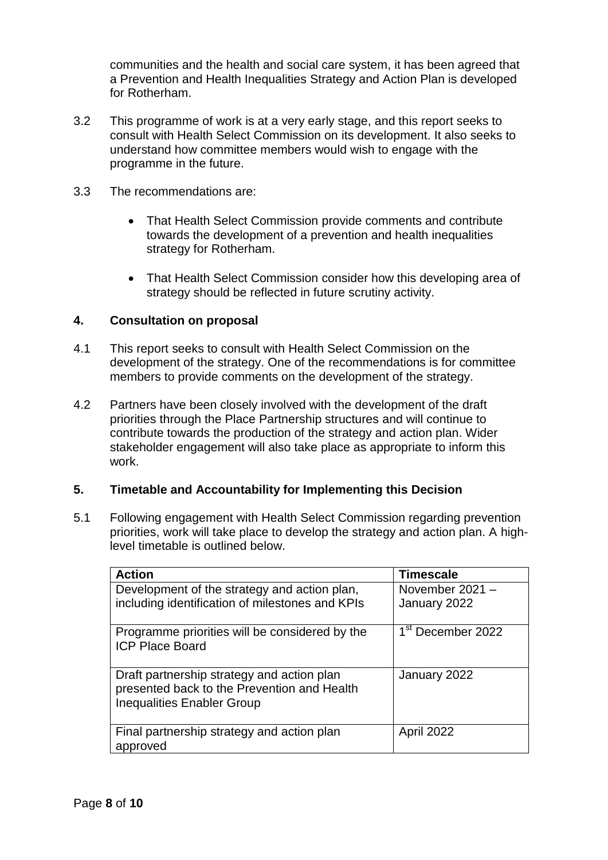communities and the health and social care system, it has been agreed that a Prevention and Health Inequalities Strategy and Action Plan is developed for Rotherham.

- 3.2 This programme of work is at a very early stage, and this report seeks to consult with Health Select Commission on its development. It also seeks to understand how committee members would wish to engage with the programme in the future.
- 3.3 The recommendations are:
	- That Health Select Commission provide comments and contribute towards the development of a prevention and health inequalities strategy for Rotherham.
	- That Health Select Commission consider how this developing area of strategy should be reflected in future scrutiny activity.

#### **4. Consultation on proposal**

- 4.1 This report seeks to consult with Health Select Commission on the development of the strategy. One of the recommendations is for committee members to provide comments on the development of the strategy.
- 4.2 Partners have been closely involved with the development of the draft priorities through the Place Partnership structures and will continue to contribute towards the production of the strategy and action plan. Wider stakeholder engagement will also take place as appropriate to inform this work.

#### **5. Timetable and Accountability for Implementing this Decision**

5.1 Following engagement with Health Select Commission regarding prevention priorities, work will take place to develop the strategy and action plan. A highlevel timetable is outlined below.

| <b>Action</b>                                                                                                                  | <b>Timescale</b>                |
|--------------------------------------------------------------------------------------------------------------------------------|---------------------------------|
| Development of the strategy and action plan,<br>including identification of milestones and KPIs                                | November 2021 -<br>January 2022 |
|                                                                                                                                |                                 |
| Programme priorities will be considered by the<br><b>ICP Place Board</b>                                                       | 1 <sup>st</sup> December 2022   |
| Draft partnership strategy and action plan<br>presented back to the Prevention and Health<br><b>Inequalities Enabler Group</b> | January 2022                    |
| Final partnership strategy and action plan<br>approved                                                                         | April 2022                      |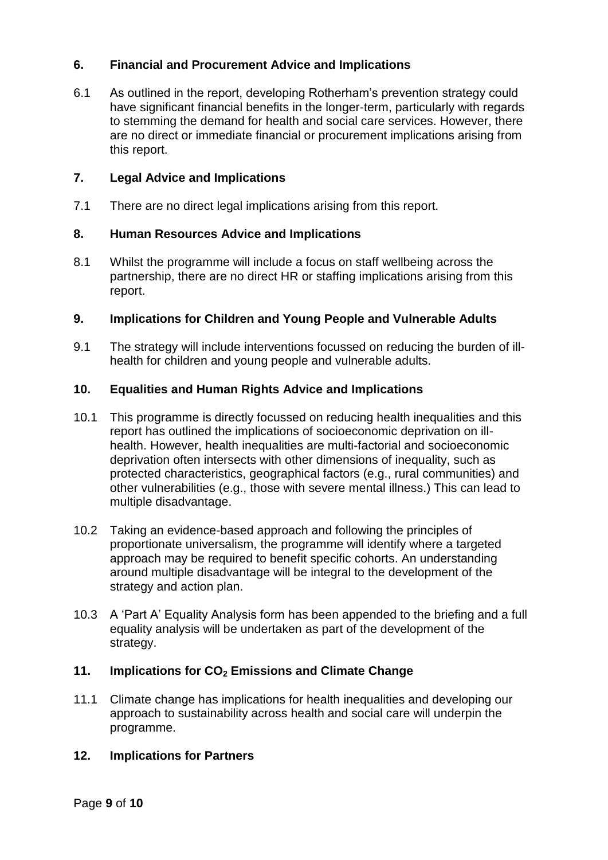# **6. Financial and Procurement Advice and Implications**

6.1 As outlined in the report, developing Rotherham's prevention strategy could have significant financial benefits in the longer-term, particularly with regards to stemming the demand for health and social care services. However, there are no direct or immediate financial or procurement implications arising from this report.

## **7. Legal Advice and Implications**

7.1 There are no direct legal implications arising from this report.

## **8. Human Resources Advice and Implications**

8.1 Whilst the programme will include a focus on staff wellbeing across the partnership, there are no direct HR or staffing implications arising from this report.

## **9. Implications for Children and Young People and Vulnerable Adults**

9.1 The strategy will include interventions focussed on reducing the burden of illhealth for children and young people and vulnerable adults.

## **10. Equalities and Human Rights Advice and Implications**

- 10.1 This programme is directly focussed on reducing health inequalities and this report has outlined the implications of socioeconomic deprivation on illhealth. However, health inequalities are multi-factorial and socioeconomic deprivation often intersects with other dimensions of inequality, such as protected characteristics, geographical factors (e.g., rural communities) and other vulnerabilities (e.g., those with severe mental illness.) This can lead to multiple disadvantage.
- 10.2 Taking an evidence-based approach and following the principles of proportionate universalism, the programme will identify where a targeted approach may be required to benefit specific cohorts. An understanding around multiple disadvantage will be integral to the development of the strategy and action plan.
- 10.3 A 'Part A' Equality Analysis form has been appended to the briefing and a full equality analysis will be undertaken as part of the development of the strategy.

#### **11. Implications for CO<sup>2</sup> Emissions and Climate Change**

11.1 Climate change has implications for health inequalities and developing our approach to sustainability across health and social care will underpin the programme.

#### **12. Implications for Partners**